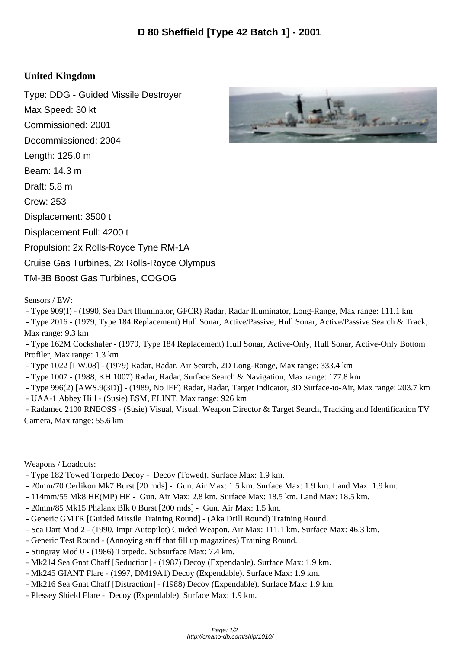## **United Kingdom**

Type: DDG - Guided Missile Destroyer Max Speed: 30 kt Commissioned: 2001 Decommissioned: 2004 Length: 125.0 m Beam: 14.3 m Draft: 5.8 m Crew: 253 Displacement: 3500 t Displacement Full: 4200 t Propulsion: 2x Rolls-Royce Tyne RM-1A Cruise Gas Turbines, 2x Rolls-Royce Olympus TM-3B Boost Gas Turbines, COGOG

Sensors / EW:

- Type 909(I) - (1990, Sea Dart Illuminator, GFCR) Radar, Radar Illuminator, Long-Range, Max range: 111.1 km

 - Type 2016 - (1979, Type 184 Replacement) Hull Sonar, Active/Passive, Hull Sonar, Active/Passive Search & Track, Max range: 9.3 km

 - Type 162M Cockshafer - (1979, Type 184 Replacement) Hull Sonar, Active-Only, Hull Sonar, Active-Only Bottom Profiler, Max range: 1.3 km

- Type 1022 [LW.08] - (1979) Radar, Radar, Air Search, 2D Long-Range, Max range: 333.4 km

- Type 1007 - (1988, KH 1007) Radar, Radar, Surface Search & Navigation, Max range: 177.8 km

- Type 996(2) [AWS.9(3D)] - (1989, No IFF) Radar, Radar, Target Indicator, 3D Surface-to-Air, Max range: 203.7 km

- UAA-1 Abbey Hill - (Susie) ESM, ELINT, Max range: 926 km

 - Radamec 2100 RNEOSS - (Susie) Visual, Visual, Weapon Director & Target Search, Tracking and Identification TV Camera, Max range: 55.6 km

Weapons / Loadouts:

- Type 182 Towed Torpedo Decoy - Decoy (Towed). Surface Max: 1.9 km.

- 20mm/70 Oerlikon Mk7 Burst [20 rnds] Gun. Air Max: 1.5 km. Surface Max: 1.9 km. Land Max: 1.9 km.
- 114mm/55 Mk8 HE(MP) HE Gun. Air Max: 2.8 km. Surface Max: 18.5 km. Land Max: 18.5 km.
- 20mm/85 Mk15 Phalanx Blk 0 Burst [200 rnds] Gun. Air Max: 1.5 km.
- Generic GMTR [Guided Missile Training Round] (Aka Drill Round) Training Round.
- Sea Dart Mod 2 (1990, Impr Autopilot) Guided Weapon. Air Max: 111.1 km. Surface Max: 46.3 km.
- Generic Test Round (Annoying stuff that fill up magazines) Training Round.
- Stingray Mod 0 (1986) Torpedo. Subsurface Max: 7.4 km.
- Mk214 Sea Gnat Chaff [Seduction] (1987) Decoy (Expendable). Surface Max: 1.9 km.
- Mk245 GIANT Flare (1997, DM19A1) Decoy (Expendable). Surface Max: 1.9 km.
- Mk216 Sea Gnat Chaff [Distraction] (1988) Decoy (Expendable). Surface Max: 1.9 km.
- Plessey Shield Flare Decoy (Expendable). Surface Max: 1.9 km.